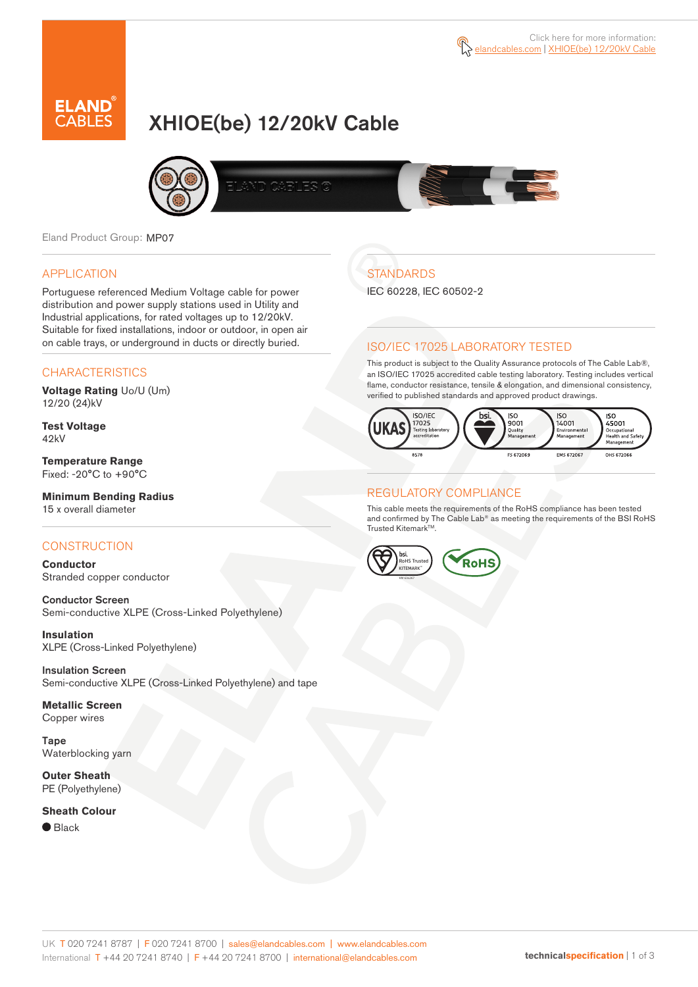

# XHIOE(be) 12/20kV Cable



Eland Product Group: MP07

#### APPLICATION

Portuguese referenced Medium Voltage cable for power distribution and power supply stations used in Utility and Industrial applications, for rated voltages up to 12/20kV. Suitable for fixed installations, indoor or outdoor, in open air on cable trays, or underground in ducts or directly buried.

### **CHARACTERISTICS**

**Voltage Rating** Uo/U (Um) 12/20 (24)kV

**Test Voltage** 42kV

**Temperature Range** Fixed: -20°C to +90°C

### **Minimum Bending Radius**

15 x overall diameter

### **CONSTRUCTION**

**Conductor** Stranded copper conductor

Conductor Screen Semi-conductive XLPE (Cross-Linked Polyethylene)

**Insulation** XLPE (Cross-Linked Polyethylene)

Insulation Screen Semi-conductive XLPE (Cross-Linked Polyethylene) and tape

**Metallic Screen** Copper wires

Tape Waterblocking yarn

**Outer Sheath** PE (Polyethylene)

#### **Sheath Colour**

● Black

# **STANDARDS**

IEC 60228, IEC 60502-2

### ISO/IEC 17025 LABORATORY TESTED

This product is subject to the Quality Assurance protocols of The Cable Lab®, an ISO/IEC 17025 accredited cable testing laboratory. Testing includes vertical flame, conductor resistance, tensile & elongation, and dimensional consistency, verified to published standards and approved product drawings.



#### REGULATORY COMPLIANCE

This cable meets the requirements of the RoHS compliance has been tested and confirmed by The Cable Lab® as meeting the requirements of the BSI RoHS Trusted Kitemark™.

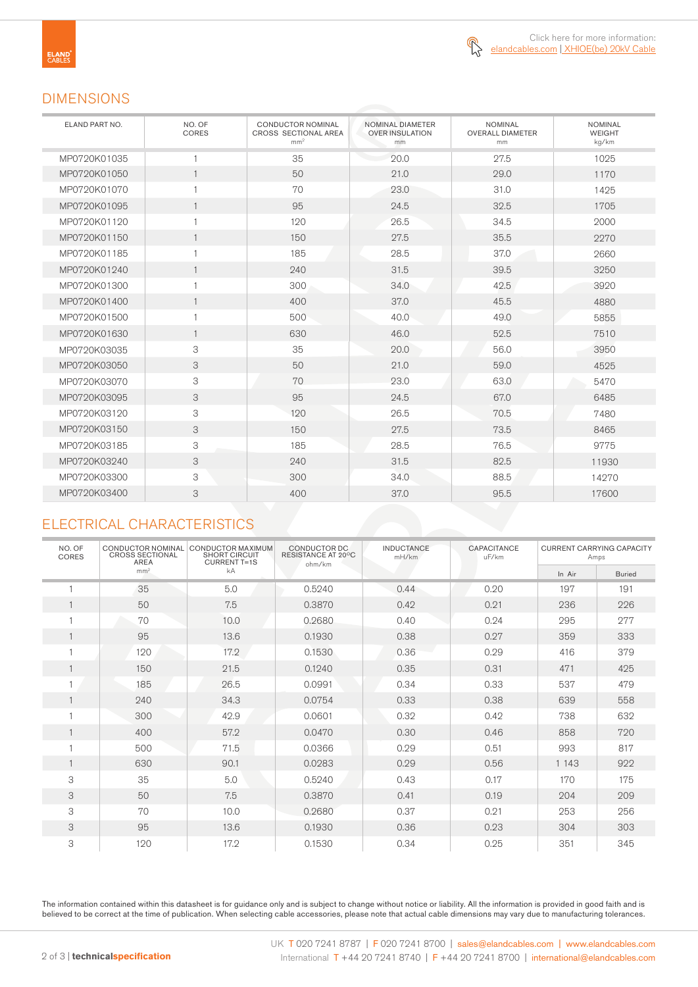### DIMENSIONS

| ELAND PART NO. | NO. OF<br>CORES | <b>CONDUCTOR NOMINAL</b><br>CROSS SECTIONAL AREA<br>mm <sup>2</sup> | NOMINAL DIAMETER<br><b>OVER INSULATION</b><br>mm | <b>NOMINAL</b><br><b>OVERALL DIAMETER</b><br>mm | <b>NOMINAL</b><br>WEIGHT<br>kg/km |
|----------------|-----------------|---------------------------------------------------------------------|--------------------------------------------------|-------------------------------------------------|-----------------------------------|
| MP0720K01035   | 1               | 35                                                                  | 20.0                                             | 27.5                                            | 1025                              |
| MP0720K01050   | $\mathbf{1}$    | 50                                                                  | 21.0                                             | 29.0                                            | 1170                              |
| MP0720K01070   | 1               | 70                                                                  | 23.0                                             | 31.0                                            | 1425                              |
| MP0720K01095   | $\mathbf{1}$    | 95                                                                  | 24.5                                             | 32.5                                            | 1705                              |
| MP0720K01120   | 1               | 120                                                                 | 26.5                                             | 34.5                                            | 2000                              |
| MP0720K01150   | $\mathbf{1}$    | 150                                                                 | 27.5                                             | 35.5                                            | 2270                              |
| MP0720K01185   | $\mathbf{1}$    | 185                                                                 | 28.5                                             | 37.0                                            | 2660                              |
| MP0720K01240   | $\mathbf{1}$    | 240                                                                 | 31.5                                             | 39.5                                            | 3250                              |
| MP0720K01300   | 1               | 300                                                                 | 34.0                                             | 42.5                                            | 3920                              |
| MP0720K01400   | $\mathbf{1}$    | 400                                                                 | 37.0                                             | 45.5                                            | 4880                              |
| MP0720K01500   | 1               | 500                                                                 | 40.0                                             | 49.0                                            | 5855                              |
| MP0720K01630   | $\mathbf{1}$    | 630                                                                 | 46.0                                             | 52.5                                            | 7510                              |
| MP0720K03035   | 3               | 35                                                                  | 20.0                                             | 56.0                                            | 3950                              |
| MP0720K03050   | 3               | 50                                                                  | 21.0                                             | 59.0                                            | 4525                              |
| MP0720K03070   | 3               | 70                                                                  | 23.0                                             | 63.0                                            | 5470                              |
| MP0720K03095   | 3               | 95                                                                  | 24.5                                             | 67.0                                            | 6485                              |
| MP0720K03120   | 3               | 120                                                                 | 26.5                                             | 70.5                                            | 7480                              |
| MP0720K03150   | 3               | 150                                                                 | 27.5                                             | 73.5                                            | 8465                              |
| MP0720K03185   | 3               | 185                                                                 | 28.5                                             | 76.5                                            | 9775                              |
| MP0720K03240   | 3               | 240                                                                 | 31.5                                             | 82.5                                            | 11930                             |
| MP0720K03300   | 3               | 300                                                                 | 34.0                                             | 88.5                                            | 14270                             |
| MP0720K03400   | 3               | 400                                                                 | 37.0                                             | 95.5                                            | 17600                             |

### ELECTRICAL CHARACTERISTICS

| NO. OF<br>CORES | CONDUCTOR NOMINAL<br><b>CROSS SECTIONAL</b><br><b>AREA</b> | CONDUCTOR MAXIMUM<br><b>SHORT CIRCUIT</b><br><b>CURRENT T=1S</b> | CONDUCTOR DC<br>RESISTANCE AT 20°C<br>ohm/km | <b>INDUCTANCE</b><br>mH/km | CAPACITANCE<br>uF/km | <b>CURRENT CARRYING CAPACITY</b><br>Amps |               |
|-----------------|------------------------------------------------------------|------------------------------------------------------------------|----------------------------------------------|----------------------------|----------------------|------------------------------------------|---------------|
|                 | mm <sup>2</sup>                                            | kA                                                               |                                              |                            |                      | In Air                                   | <b>Buried</b> |
|                 | 35                                                         | 5.0                                                              | 0.5240                                       | 0.44                       | 0.20                 | 197                                      | 191           |
|                 | 50                                                         | 7.5                                                              | 0.3870                                       | 0.42                       | 0.21                 | 236                                      | 226           |
|                 | 70                                                         | 10.0                                                             | 0.2680                                       | 0.40                       | 0.24                 | 295                                      | 277           |
|                 | 95                                                         | 13.6                                                             | 0.1930                                       | 0.38                       | 0.27                 | 359                                      | 333           |
|                 | 120                                                        | 17.2                                                             | 0.1530                                       | 0.36                       | 0.29                 | 416                                      | 379           |
|                 | 150                                                        | 21.5                                                             | 0.1240                                       | 0.35                       | 0.31                 | 471                                      | 425           |
|                 | 185                                                        | 26.5                                                             | 0.0991                                       | 0.34                       | 0.33                 | 537                                      | 479           |
|                 | 240                                                        | 34.3                                                             | 0.0754                                       | 0.33                       | 0.38                 | 639                                      | 558           |
|                 | 300                                                        | 42.9                                                             | 0.0601                                       | 0.32                       | 0.42                 | 738                                      | 632           |
|                 | 400                                                        | 57.2                                                             | 0.0470                                       | 0.30                       | 0.46                 | 858                                      | 720           |
|                 | 500                                                        | 71.5                                                             | 0.0366                                       | 0.29                       | 0.51                 | 993                                      | 817           |
|                 | 630                                                        | 90.1                                                             | 0.0283                                       | 0.29                       | 0.56                 | 1 1 4 3                                  | 922           |
| 3               | 35                                                         | 5.0                                                              | 0.5240                                       | 0.43                       | 0.17                 | 170                                      | 175           |
| 3               | 50                                                         | 7.5                                                              | 0.3870                                       | 0.41                       | 0.19                 | 204                                      | 209           |
| 3               | 70                                                         | 10.0                                                             | 0.2680                                       | 0.37                       | 0.21                 | 253                                      | 256           |
| 3               | 95                                                         | 13.6                                                             | 0.1930                                       | 0.36                       | 0.23                 | 304                                      | 303           |
| 3               | 120                                                        | 17.2                                                             | 0.1530                                       | 0.34                       | 0.25                 | 351                                      | 345           |

The information contained within this datasheet is for guidance only and is subject to change without notice or liability. All the information is provided in good faith and is believed to be correct at the time of publication. When selecting cable accessories, please note that actual cable dimensions may vary due to manufacturing tolerances.